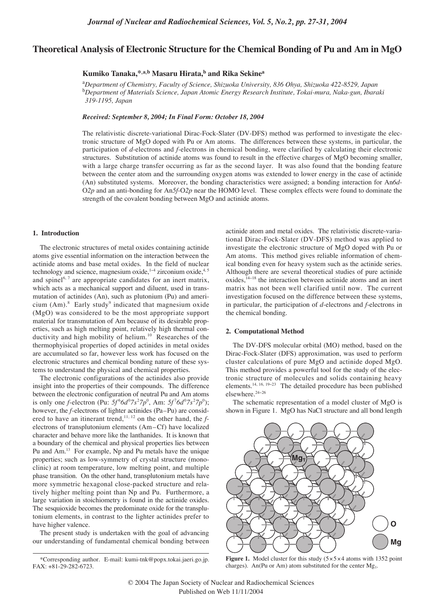# **Theoretical Analysis of Electronic Structure for the Chemical Bonding of Pu and Am in MgO**

# **Kumiko Tanaka,\*,a,b Masaru Hirata,b and Rika Sekine<sup>a</sup>**

a *Department of Chemistry, Faculty of Science, Shizuoka University, 836 Ohya, Shizuoka 422-8529, Japan*  b *Department of Materials Science, Japan Atomic Energy Research Institute, Tokai-mura, Naka-gun, Ibaraki 319-1195, Japan* 

*Received: September 8, 2004; In Final Form: October 18, 2004*

The relativistic discrete-variational Dirac-Fock-Slater (DV-DFS) method was performed to investigate the electronic structure of MgO doped with Pu or Am atoms. The differences between these systems, in particular, the participation of *d*-electrons and *f*-electrons in chemical bonding, were clarified by calculating their electronic structures. Substitution of actinide atoms was found to result in the effective charges of MgO becoming smaller, with a large charge transfer occurring as far as the second layer. It was also found that the bonding feature between the center atom and the surrounding oxygen atoms was extended to lower energy in the case of actinide (An) substituted systems. Moreover, the bonding characteristics were assigned; a bonding interaction for An*6d*-O*2p* and an anti-bonding for An*5f*-O*2p* near the HOMO level. These complex effects were found to dominate the strength of the covalent bonding between MgO and actinide atoms.

### **1. Introduction**

The electronic structures of metal oxides containing actinide atoms give essential information on the interaction between the actinide atoms and base metal oxides. In the field of nuclear technology and science, magnesium oxide,<sup>1-4</sup> zirconium oxide,<sup>4,5</sup> and spinel<sup>6, 7</sup> are appropriate candidates for an inert matrix, which acts as a mechanical support and diluent, used in transmutation of actinides (An), such as plutonium (Pu) and americium  $(Am)$ .<sup>8</sup> Early study<sup>9</sup> indicated that magnesium oxide (MgO) was considered to be the most appropriate support material for transmutation of Am because of its desirable properties, such as high melting point, relatively high thermal conductivity and high mobility of helium.<sup>10</sup> Researches of the thermophyisical properties of doped actinides in metal oxides are accumulated so far, however less work has focused on the electronic structures and chemical bonding nature of these systems to understand the physical and chemical properties.

The electronic configurations of the actinides also provide insight into the properties of their compounds. The difference between the electronic configuration of neutral Pu and Am atoms is only one *f*-electron (Pu:  $5f^66d^07s^27p^0$ , Am:  $5f^76d^07s^27p^0$ ); however, the *f*-electrons of lighter actinides (Pa-Pu) are considered to have an itinerant trend,<sup>11, 12</sup> on the other hand, the *f*electrons of transplutonium elements (Am – Cf) have localized character and behave more like the lanthanides. It is known that a boundary of the chemical and physical properties lies between Pu and Am.13 For example, Np and Pu metals have the unique properties; such as low-symmetry of crystal structure (monoclinic) at room temperature, low melting point, and multiple phase transition. On the other hand, transplutonium metals have more symmetric hexagonal close-packed structure and relatively higher melting point than Np and Pu. Furthermore, a large variation in stoichiometry is found in the actinide oxides. The sesquioxide becomes the predominate oxide for the transplutonium elements, in contrast to the lighter actinides prefer to have higher valence.

The present study is undertaken with the goal of advancing our understanding of fundamental chemical bonding between actinide atom and metal oxides. The relativistic discrete-variational Dirac-Fock-Slater (DV-DFS) method was applied to investigate the electronic structure of MgO doped with Pu or Am atoms. This method gives reliable information of chemical bonding even for heavy system such as the actinide series. Although there are several theoretical studies of pure actinide oxides,<sup>14−18</sup> the interaction between actinide atoms and an inert matrix has not been well clarified until now. The current investigation focused on the difference between these systems, in particular, the participation of *d*-electrons and *f*-electrons in the chemical bonding.

#### **2. Computational Method**

The DV-DFS molecular orbital (MO) method, based on the Dirac-Fock-Slater (DFS) approximation, was used to perform cluster calculations of pure MgO and actinide doped MgO. This method provides a powerful tool for the study of the electronic structure of molecules and solids containing heavy elements.<sup>14, 16, 19−23</sup> The detailed procedure has been published elsewhere.24−<sup>26</sup>

The schematic representation of a model cluster of MgO is shown in Figure 1. MgO has NaCl structure and all bond length



**Figure 1.** Model cluster for this study  $(5 \times 5 \times 4)$  atoms with 1352 point charges). An(Pu or Am) atom substituted for the center  $Mg_1$ .

<sup>\*</sup>Corresponding author. E-mail: kumi-tnk@popx.tokai.jaeri.go.jp. FAX: +81-29-282-6723.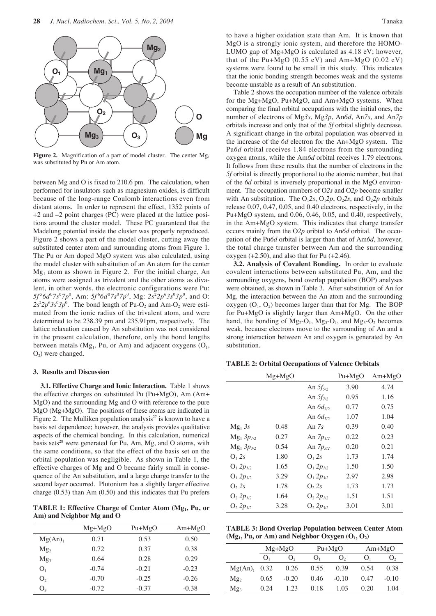

Figure 2. Magnification of a part of model cluster. The center Mg<sub>1</sub> was substituted by Pu or Am atom.

between Mg and O is fixed to 210.6 pm. The calculation, when performed for insulators such as magnesium oxides, is difficult because of the long-range Coulomb interactions even from distant atoms. In order to represent the effect, 1352 points of +2 and –2 point charges (PC) were placed at the lattice positions around the cluster model. These PC guaranteed that the Madelung potential inside the cluster was properly reproduced. Figure 2 shows a part of the model cluster, cutting away the substituted center atom and surrounding atoms from Figure 1. The Pu or Am doped MgO system was also calculated, using the model cluster with substitution of an An atom for the center  $Mg<sub>1</sub>$  atom as shown in Figure 2. For the initial charge, An atoms were assigned as trivalent and the other atoms as divalent, in other words, the electronic configurations were Pu: *5f* <sup>5</sup> *6d*<sup>0</sup> *7s*<sup>0</sup> *7p*<sup>0</sup> , Am: *5f* <sup>6</sup> *6d*<sup>0</sup> *7s*<sup>0</sup> *7p*<sup>0</sup> , Mg: *2s*<sup>2</sup> *2p*<sup>6</sup> *3s*<sup>0</sup> *3p*<sup>0</sup> , and O:  $2s^2 2p^6 3s^0 3p^0$ . The bond length of Pu-O<sub>2</sub> and Am-O<sub>2</sub> were estimated from the ionic radius of the trivalent atom, and were determined to be 238.39 pm and 235.91pm, respectively. The lattice relaxation caused by An substitution was not considered in the present calculation, therefore, only the bond lengths between metals ( $Mg_1$ , Pu, or Am) and adjacent oxygens ( $O_1$ ,  $O<sub>2</sub>$ ) were changed.

#### **3. Results and Discussion**

**3.1. Effective Charge and Ionic Interaction.** Table 1 shows the effective charges on substituted Pu (Pu+MgO), Am (Am+ MgO) and the surrounding Mg and O with reference to the pure MgO (Mg+MgO). The positions of these atoms are indicated in Figure 2. The Mulliken population analysis<sup>27</sup> is known to have a basis set dependence; however, the analysis provides qualitative aspects of the chemical bonding. In this calculation, numerical basis sets<sup>28</sup> were generated for Pu, Am, Mg, and O atoms, with the same conditions, so that the effect of the basis set on the orbital population was negligible. As shown in Table 1, the effective charges of Mg and O became fairly small in consequence of the An substitution, and a large charge transfer to the second layer occurred. Plutonium has a slightly larger effective charge (0.53) than Am (0.50) and this indicates that Pu prefers

TABLE 1: Effective Charge of Center Atom (Mg<sub>1</sub>, Pu, or **Am) and Neighbor Mg and O**

|                 | $Mg+MgO$ | $Pu+MgO$ | $Am+MgO$ |
|-----------------|----------|----------|----------|
| Mg(An)          | 0.71     | 0.53     | 0.50     |
| Mg <sub>2</sub> | 0.72     | 0.37     | 0.38     |
| Mg <sub>3</sub> | 0.64     | 0.28     | 0.29     |
| O <sub>1</sub>  | $-0.74$  | $-0.21$  | $-0.23$  |
| O <sub>2</sub>  | $-0.70$  | $-0.25$  | $-0.26$  |
| O3              | $-0.72$  | $-0.37$  | $-0.38$  |
|                 |          |          |          |

to have a higher oxidation state than Am. It is known that MgO is a strongly ionic system, and therefore the HOMO-LUMO gap of Mg+MgO is calculated as 4.18 eV; however, that of the  $Pu+MgO(0.55 \text{ eV})$  and  $Am+MgO(0.02 \text{ eV})$ systems were found to be small in this study. This indicates that the ionic bonding strength becomes weak and the systems become unstable as a result of An substitution.

Table 2 shows the occupation number of the valence orbitals for the Mg+MgO, Pu+MgO, and Am+MgO systems. When comparing the final orbital occupations with the initial ones, the number of electrons of Mg*3s*, Mg*3p*, An*6d*, An*7s*, and An*7p* orbitals increase and only that of the *5f* orbital slightly decrease. A significant change in the orbital population was observed in the increase of the *6d* electron for the An+MgO system. The Pu*6d* orbital receives 1.84 electrons from the surrounding oxygen atoms, while the Am*6d* orbital receives 1.79 electrons. It follows from these results that the number of electrons in the *5f* orbital is directly proportional to the atomic number, but that of the *6d* orbital is inversely proportional in the MgO environment. The occupation numbers of O*2s* and O*2p* become smaller with An substitution. The  $O_12s$ ,  $O_12p$ ,  $O_22s$ , and  $O_22p$  orbitals release 0.07, 0.47, 0.05, and 0.40 electrons, respectively, in the Pu+MgO system, and 0.06, 0.46, 0.05, and 0.40, respectively, in the Am+MgO system. This indicates that charge transfer occurs mainly from the O*2p* oribtal to An*6d* orbital. The occupation of the Pu*6d* orbital is larger than that of Am*6d*, however, the total charge transfer between Am and the surrounding oxygen  $(+2.50)$ , and also that for Pu  $(+2.46)$ .

**3.2. Analysis of Covalent Bonding.** In order to evaluate covalent interactions between substituted Pu, Am, and the surrounding oxygens, bond overlap population (BOP) analyses were obtained, as shown in Table 3. After substitution of An for Mg, the interaction between the An atom and the surrounding oxygen  $(O_1, O_2)$  becomes larger than that for Mg. The BOP for Pu+MgO is slightly larger than Am+MgO. On the other hand, the bonding of  $Mg_2-O_1$ ,  $Mg_3-O_1$ , and  $Mg_3-O_2$  becomes weak, because electrons move to the surrounding of An and a strong interaction between An and oxygen is generated by An substitution.

**TABLE 2: Orbital Occupations of Valence Orbitals**

|                   | $Mg+MgO$ |                   | $Pu+MgO$ | $Am+MgO$ |
|-------------------|----------|-------------------|----------|----------|
|                   |          | An $5f_{5/2}$     | 3.90     | 4.74     |
|                   |          | An $5f_{7/2}$     | 0.95     | 1.16     |
|                   |          | An $6d_{3/2}$     | 0.77     | 0.75     |
|                   |          | An $6d_{5/2}$     | 1.07     | 1.04     |
| $Mg_1 3s$         | 0.48     | An $7s$           | 0.39     | 0.40     |
| $Mg_1 3p_{1/2}$   | 0.27     | An $7p_{1/2}$     | 0.22     | 0.23     |
| $Mg_1 3p_{3/2}$   | 0.54     | An $7p_{3/2}$     | 0.20     | 0.21     |
| O <sub>1</sub> 2s | 1.80     | O <sub>1</sub> 2s | 1.73     | 1.74     |
| $O_1 2p_{1/2}$    | 1.65     | $O_1 2p_{1/2}$    | 1.50     | 1.50     |
| $O_1 2p_{3/2}$    | 3.29     | $O_1 2p_{3/2}$    | 2.97     | 2.98     |
| O <sub>2s</sub>   | 1.78     | O <sub>2s</sub>   | 1.73     | 1.73     |
| $O_2 2p_{1/2}$    | 1.64     | $O_2 2p_{1/2}$    | 1.51     | 1.51     |
| $O_2 2p_{3/2}$    | 3.28     | $O_2 2p_{3/2}$    | 3.01     | 3.01     |

**TABLE 3: Bond Overlap Population between Center Atom**  $(Mg<sub>1</sub>, Pu, or Am)$  and Neighbor Oxygen  $(O<sub>1</sub>, O<sub>2</sub>)$ 

|                 | $Mg+MgO$ |                  |                | $Pu+MgO$ | $Am+MgO$ |         |  |
|-----------------|----------|------------------|----------------|----------|----------|---------|--|
|                 | ()       | $\mathbf{U}_{2}$ | $\mathbf{O}_1$ | ()       | O.       | O,      |  |
| $Mg(An)$ , 0.32 |          | 0.26             | 0.55           | 0.39     | 0.54     | 0.38    |  |
| Mg <sub>2</sub> | 0.65     | $-0.20$          | 0.46           | $-0.10$  | 0.47     | $-0.10$ |  |
| Mg <sub>3</sub> | 0.24     | 1.23             | 0.18           | 1.03     | 0.20     | 1.04    |  |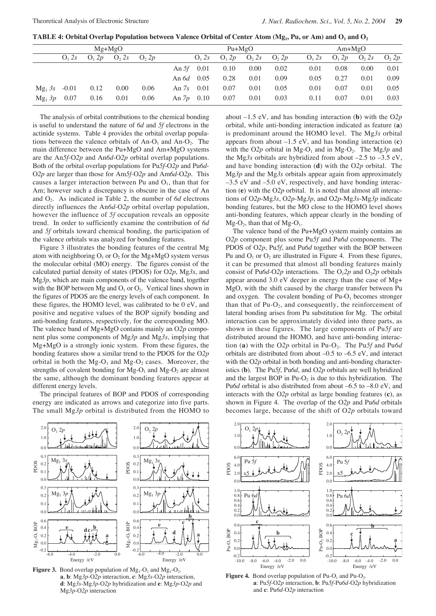**TABLE 4: Orbital Overlap Population between Valence Orbital of Center Atom (Mg<sub>1</sub>, Pu, or Am) and O<sub>1</sub> and O<sub>2</sub>** 

| $Mg+MgO$  |                   |                   |                 | $Pu+MgO$         |         |          |                   |                 | $Am+MgO$         |                   |                   |                 |                   |
|-----------|-------------------|-------------------|-----------------|------------------|---------|----------|-------------------|-----------------|------------------|-------------------|-------------------|-----------------|-------------------|
|           | O <sub>1</sub> 2s | O <sub>1</sub> 2p | O <sub>2s</sub> | O <sub>2</sub> p |         | $O_1 2s$ | O <sub>1</sub> 2p | O <sub>2s</sub> | O <sub>2</sub> p | O <sub>1</sub> 2s | O <sub>1</sub> 2p | O <sub>2s</sub> | O <sub>2</sub> 2p |
|           |                   |                   |                 |                  | An 5f   | 0.01     | 0.10              | 0.00            | 0.02             | 0.01              | 0.08              | 0.00            | 0.01              |
|           |                   |                   |                 |                  | An $6d$ | 0.05     | 0.28              | 0.01            | 0.09             | 0.05              | 0.27              | 0.01            | 0.09              |
| $Mg_1 3s$ | $-0.01$           | 0.12              | 0.00            | 0.06             | An 7s   | 0.01     | 0.07              | 0.01            | 0.05             | 0.01              | 0.07              | 0.01            | 0.05              |
| $Mg_1 3p$ | 0.07              | 0.16              | 0.01            | 0.06             | An $7p$ | 0.10     | 0.07              | 0.01            | 0.03             | 0.11              | 0.07              | 0.01            | 0.03              |

The analysis of orbital contributions to the chemical bonding is useful to understand the nature of *6d* and *5f* electrons in the actinide systems. Table 4 provides the orbital overlap populations between the valence orbitals of  $An-O<sub>1</sub>$  and  $An-O<sub>2</sub>$ . The main difference between the Pu+MgO and Am+MgO systems are the An*5f*-O*2p* and An*6d*-O*2p* orbital overlap populations. Both of the orbital overlap populations for Pu*5f*-O*2p* and Pu*6d*-O*2p* are larger than those for Am*5f*-O*2p* and Am*6d*-O*2p*. This causes a larger interaction between Pu and  $O<sub>1</sub>$ , than that for Am; however such a discrepancy is obscure in the case of An and O2. As indicated in Table 2, the number of *6d* electrons directly influences the An*6d*-O*2p* orbital overlap population, however the influence of *5f* occupation reveals an opposite trend. In order to sufficiently examine the contribution of *6d* and *5f* orbitals toward chemical bonding, the participation of the valence orbitals was analyzed for bonding features.

Figure 3 illustrates the bonding features of the central Mg atom with neighboring  $O_1$  or  $O_2$  for the Mg+MgO system versus the molecular orbital (MO) energy. The figures consist of the calculated partial density of states (PDOS) for O*2p*, Mg*3s*, and Mg*3p*, which are main components of the valence band, together with the BOP between Mg and  $O_1$  or  $O_2$ . Vertical lines shown in the figures of PDOS are the energy levels of each component. In these figures, the HOMO level, was calibrated to be 0 eV, and positive and negative values of the BOP signify bonding and anti-bonding features, respectively, for the corresponding MO. The valence band of Mg+MgO contains mainly an O*2p* component plus some components of Mg*3p* and Mg*3s*, implying that Mg+MgO is a strongly ionic system. From these figures, the bonding features show a similar trend to the PDOS for the O*2p* orbital in both the  $Mg-O_1$  and  $Mg-O_2$  cases. Moreover, the strengths of covalent bonding for  $Mg-O_1$  and  $Mg-O_2$  are almost the same, although the dominant bonding features appear at different energy levels.

The principal features of BOP and PDOS of corresponding energy are indicated as arrows and categorize into five parts. The small Mg*3p* orbital is distributed from the HOMO to



**Figure 3.** Bond overlap population of  $Mg_1-O_1$  and  $Mg_1-O_2$ . **a**, **b**: Mg*3p-*O*2p* interaction, **c**: Mg*3s-*O*2p* interaction, **d**: Mg*3s-*Mg*3p-*O*2p* hybridization and **e**: Mg*3p-*O*2p* and Mg*3p-*O*2p* interaction

about –1.5 eV, and has bonding interaction (**b**) with the O*2p* orbital, while anti-bonding interaction indicated as feature (**a**) is predominant around the HOMO level. The Mg*3s* orbital appears from about –1.5 eV, and has bonding interaction (**c**) with the O<sub>2</sub>p orbital in Mg-O<sub>1</sub> and in Mg-O<sub>2</sub>. The Mg<sub>3</sub>p and the Mg*3s* orbitals are hybridized from about –2.5 to –3.5 eV, and have bonding interaction (**d**) with the O*2p* orbital. The Mg*3p* and the Mg*3s* orbitals appear again from approximately  $-3.5$  eV and  $-5.0$  eV, respectively, and have bonding interaction (**e**) with the O*2p* orbital. It is noted that almost all interactions of O*2p*-Mg*3s*, O*2p*-Mg*3p*, and O*2p*-Mg*3s*-Mg*3p* indicate bonding features, but the MO close to the HOMO level shows anti-bonding features, which appear clearly in the bonding of  $Mg-O<sub>2</sub>$ , than that of  $Mg-O<sub>1</sub>$ .

The valence band of the Pu+MgO system mainly contains an O*2p* component plus some Pu*5f* and Pu*6d* components. The PDOS of O*2p*, Pu*5f*, and Pu*6d* together with the BOP between Pu and  $O_1$  or  $O_2$  are illustrated in Figure 4. From these figures, it can be presumed that almost all bonding features mainly consist of Pu*6d*-O2*p* interactions. The O<sub>1</sub>2*p* and O<sub>2</sub>2*p* orbitals appear around 3.0 eV deeper in energy than the case of Mg+ MgO, with the shift caused by the charge transfer between Pu and oxygen. The covalent bonding of  $Pu-O<sub>1</sub>$  becomes stronger than that of  $Pu-O<sub>2</sub>$ , and consequently, the reinforcement of lateral bonding arises from Pu substitution for Mg. The orbital interaction can be approximately divided into three parts, as shown in these figures. The large components of Pu*5f* are distributed around the HOMO, and have anti-bonding interaction (a) with the O<sub>2</sub>*p* orbital in Pu-O<sub>2</sub>. The Pu5f and Pu6d orbitals are distributed from about –0.5 to –6.5 eV, and interact with the O*2p* orbital in both bonding and anti-bonding characteristics (**b**). The Pu*5f*, Pu*6d*, and O*2p* orbitals are well hybridized and the largest BOP in  $Pu-O<sub>2</sub>$  is due to this hybridization. The Pu*6d* orbital is also distributed from about –6.5 to –8.0 eV, and interacts with the O*2p* orbital as large bonding features (**c**), as shown in Figure 4. The overlap of the O*2p* and Pu*6d* orbitals becomes large, because of the shift of O*2p* orbitals toward



**Figure 4.** Bond overlap population of  $Pu-O_1$  and  $Pu-O_2$ . **a**: Pu*5f-*O*2p* interaction, **b**: Pu*5f-*Pu*6d-*O*2p* hybridization and **c**: Pu*6d-*O*2p* interaction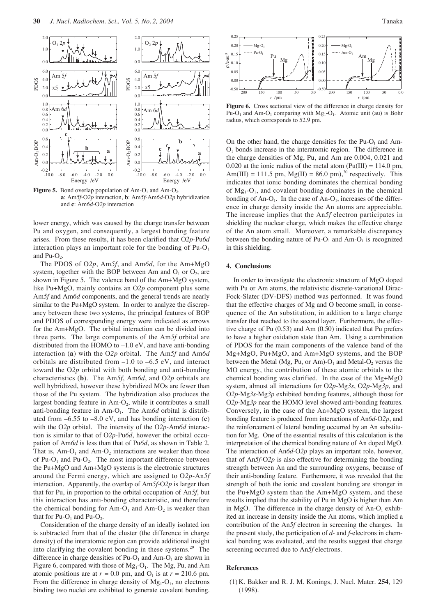

**Figure 5.** Bond overlap population of  $Am-O<sub>1</sub>$  and  $Am-O<sub>2</sub>$ . **a**: Am*5f-*O*2p* interaction, **b**: Am*5f-*Am*6d-*O*2p* hybridization and **c**: Am*6d-*O*2p* interaction

lower energy, which was caused by the charge transfer between Pu and oxygen, and consequently, a largest bonding feature arises. From these results, it has been clarified that O*2p*-Pu*6d* interaction plays an important role for the bonding of  $Pu-O<sub>1</sub>$ and  $Pu-O<sub>2</sub>$ .

The PDOS of O*2p*, Am*5f*, and Am*6d*, for the Am+MgO system, together with the BOP between Am and  $O_1$  or  $O_2$ , are shown in Figure 5. The valence band of the Am+MgO system, like Pu+MgO, mainly contains an O*2p* component plus some Am*5f* and Am*6d* components, and the general trends are nearly similar to the Pu+MgO system. In order to analyze the discrepancy between these two systems, the principal features of BOP and PDOS of corresponding energy were indicated as arrows for the Am+MgO. The orbital interaction can be divided into three parts. The large components of the Am*5f* orbital are distributed from the HOMO to –1.0 eV, and have anti-bonding interaction (**a**) with the O*2p* orbital. The Am*5f* and Am*6d* orbitals are distributed from –1.0 to –6.5 eV, and interact toward the O*2p* orbital with both bonding and anti-bonding characteristics (**b**). The Am*5f*, Am*6d*, and O*2p* orbitals are well hybridized, however these hybridized MOs are fewer than those of the Pu system. The hybridization also produces the largest bonding feature in  $Am-O<sub>2</sub>$ , while it contributes a small anti-bonding feature in Am-O<sub>1</sub>. The Am6d orbital is distributed from –6.55 to –8.0 eV, and has bonding interaction (**c**) with the O*2p* orbital. The intensity of the O*2p*-Am*6d* interaction is similar to that of O*2p*-Pu*6d*, however the orbital occupation of Am*6d* is less than that of Pu*6d*, as shown in Table 2. That is,  $Am-O<sub>1</sub>$  and  $Am-O<sub>2</sub>$  interactions are weaker than those of Pu- $O_1$  and Pu- $O_2$ . The most important difference between the Pu+MgO and Am+MgO systems is the electronic structures around the Fermi energy, which are assigned to O*2p*-An*5f* interaction. Apparently, the overlap of Am*5f*-O*2p* is larger than that for Pu, in proportion to the orbital occupation of An*5f*, but this interaction has anti-bonding characteristic, and therefore the chemical bonding for  $Am-O_1$  and  $Am-O_2$  is weaker than that for  $Pu-O_1$  and  $Pu-O_2$ .

Consideration of the charge density of an ideally isolated ion is subtracted from that of the cluster (the difference in charge density) of the interatomic region can provide additional insight into clarifying the covalent bonding in these systems.29 The difference in charge densities of  $Pu-O<sub>1</sub>$  and Am-O<sub>1</sub> are shown in Figure 6, compared with those of  $Mg_1-O_1$ . The Mg, Pu, and Am atomic positions are at  $r = 0.0$  pm, and  $O_1$  is at  $r = 210.6$  pm. From the difference in charge density of  $Mg_1-O_1$ , no electrons binding two nuclei are exhibited to generate covalent bonding.



**Figure 6.** Cross sectional view of the difference in charge density for Pu-O<sub>1</sub> and Am-O<sub>1</sub> comparing with  $Mg_1-O_1$ . Atomic unit (au) is Bohr radius, which corresponds to 52.9 pm.

On the other hand, the charge densities for the  $Pu-O<sub>1</sub>$  and Am- $O<sub>1</sub>$  bonds increase in the interatomic region. The difference in the charge densities of Mg, Pu, and Am are 0.004, 0.021 and 0.020 at the ionic radius of the metal atom ( $Pu(III) = 114.0$  pm, Am(III) = 111.5 pm,  $Mg(II) = 86.0$  pm),<sup>30</sup> respectively. This indicates that ionic bonding dominates the chemical bonding of  $Mg<sub>1</sub>-O<sub>1</sub>$ , and covalent bonding dominates in the chemical bonding of An-O<sub>1</sub>. In the case of An-O<sub>1</sub>, increases of the difference in charge density inside the An atoms are appreciable. The increase implies that the An*5f* electron participates in shielding the nuclear charge, which makes the effective charge of the An atom small. Moreover, a remarkable discrepancy between the bonding nature of  $Pu-O<sub>1</sub>$  and  $Am-O<sub>1</sub>$  is recognized in this shielding.

#### **4. Conclusions**

In order to investigate the electronic structure of MgO doped with Pu or Am atoms, the relativistic discrete-variational Dirac-Fock-Slater (DV-DFS) method was performed. It was found that the effective charges of Mg and O become small, in consequence of the An substitution, in addition to a large charge transfer that reached to the second layer. Furthermore, the effective charge of Pu (0.53) and Am (0.50) indicated that Pu prefers to have a higher oxidation state than Am. Using a combination of PDOS for the main components of the valence band of the Mg+MgO, Pu+MgO, and Am+MgO systems, and the BOP between the Metal (Mg, Pu, or Am)- $O_1$  and Metal- $O_2$  versus the MO energy, the contribution of these atomic orbitals to the chemical bonding was clarified. In the case of the Mg+MgO system, almost all interactions for O*2p*-Mg*3s*, O*2p*-Mg*3p*, and O*2p*-Mg*3s*-Mg*3p* exhibited bonding features, although those for O*2p*-Mg*3p* near the HOMO level showed anti-bonding features. Conversely, in the case of the An+MgO system, the largest bonding feature is produced from interactions of An*6d*-O*2p*, and the reinforcement of lateral bonding occurred by an An substitution for Mg. One of the essential results of this calculation is the interpretation of the chemical bonding nature of An doped MgO. The interaction of An*6d*-O*2p* plays an important role, however, that of An*5f*-O*2p* is also effective for determining the bonding strength between An and the surrounding oxygens, because of their anti-bonding feature. Furthermore, it was revealed that the strength of both the ionic and covalent bonding are stronger in the Pu+MgO system than the Am+MgO system, and these results implied that the stability of Pu in MgO is higher than Am in MgO. The difference in the charge density of  $An-O<sub>1</sub>$  exhibited an increase in density inside the An atoms, which implied a contribution of the An*5f* electron in screening the charges. In the present study, the participation of *d*- and *f*-electrons in chemical bonding was evaluated, and the results suggest that charge screening occurred due to An*5f* electrons.

### **References**

(1) K. Bakker and R. J. M. Konings, J. Nucl. Mater. **254**, 129 (1998).